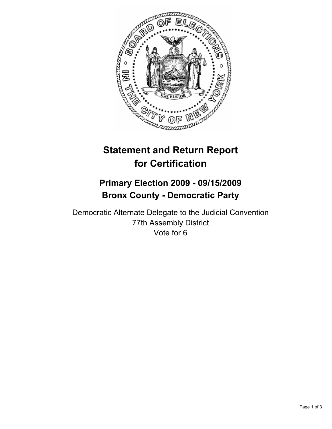

# **Statement and Return Report for Certification**

# **Primary Election 2009 - 09/15/2009 Bronx County - Democratic Party**

Democratic Alternate Delegate to the Judicial Convention 77th Assembly District Vote for 6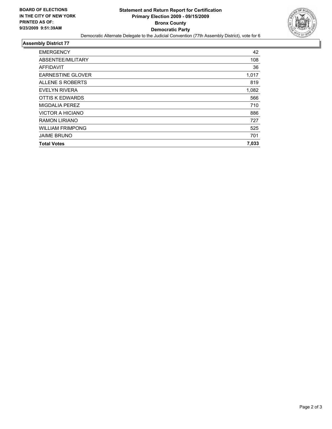

#### **Assembly District 77**

| <b>EMERGENCY</b>         | 42    |
|--------------------------|-------|
| ABSENTEE/MILITARY        | 108   |
| AFFIDAVIT                | 36    |
| <b>EARNESTINE GLOVER</b> | 1,017 |
| ALLENE S ROBERTS         | 819   |
| EVELYN RIVERA            | 1,082 |
| OTTIS K EDWARDS          | 566   |
| MIGDALIA PEREZ           | 710   |
| VICTOR A HICIANO         | 886   |
| <b>RAMON LIRIANO</b>     | 727   |
| <b>WILLIAM FRIMPONG</b>  | 525   |
| <b>JAIME BRUNO</b>       | 701   |
| <b>Total Votes</b>       | 7,033 |
|                          |       |